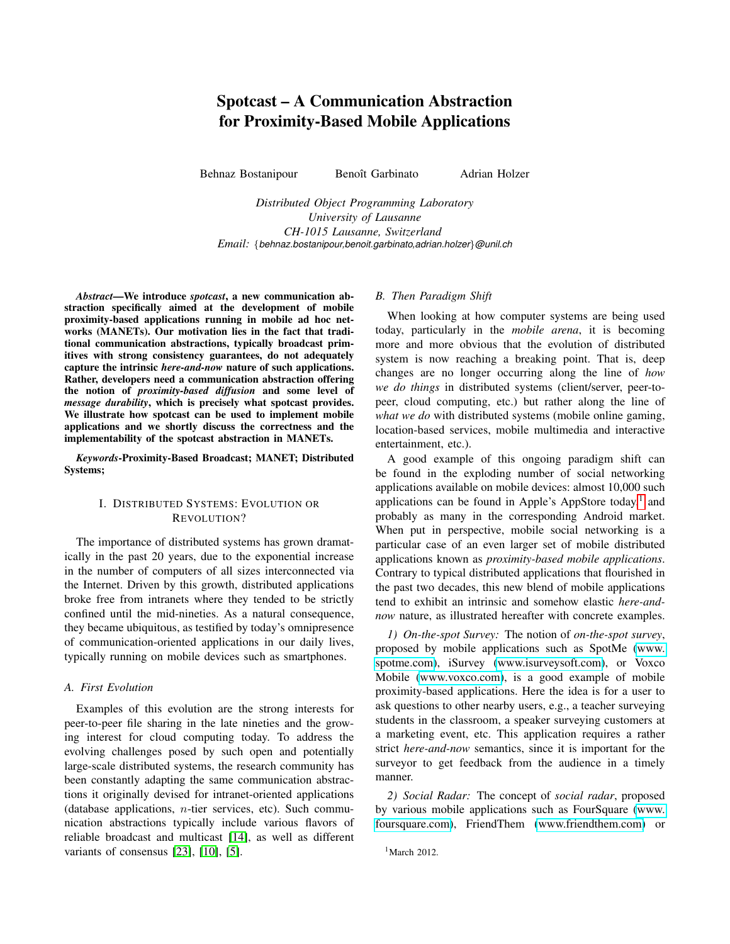# <span id="page-0-2"></span>Spotcast – A Communication Abstraction for Proximity-Based Mobile Applications

Behnaz Bostanipour Benoît Garbinato Adrian Holzer

*Distributed Object Programming Laboratory University of Lausanne CH-1015 Lausanne, Switzerland Email:* {*behnaz.bostanipour,benoit.garbinato,adrian.holzer*}*@unil.ch*

*Abstract*—We introduce *spotcast*, a new communication abstraction specifically aimed at the development of mobile proximity-based applications running in mobile ad hoc networks (MANETs). Our motivation lies in the fact that traditional communication abstractions, typically broadcast primitives with strong consistency guarantees, do not adequately capture the intrinsic *here-and-now* nature of such applications. Rather, developers need a communication abstraction offering the notion of *proximity-based diffusion* and some level of *message durability*, which is precisely what spotcast provides. We illustrate how spotcast can be used to implement mobile applications and we shortly discuss the correctness and the implementability of the spotcast abstraction in MANETs.

*Keywords*-Proximity-Based Broadcast; MANET; Distributed Systems;

# <span id="page-0-1"></span>I. DISTRIBUTED SYSTEMS: EVOLUTION OR REVOLUTION?

The importance of distributed systems has grown dramatically in the past 20 years, due to the exponential increase in the number of computers of all sizes interconnected via the Internet. Driven by this growth, distributed applications broke free from intranets where they tended to be strictly confined until the mid-nineties. As a natural consequence, they became ubiquitous, as testified by today's omnipresence of communication-oriented applications in our daily lives, typically running on mobile devices such as smartphones.

# *A. First Evolution*

Examples of this evolution are the strong interests for peer-to-peer file sharing in the late nineties and the growing interest for cloud computing today. To address the evolving challenges posed by such open and potentially large-scale distributed systems, the research community has been constantly adapting the same communication abstractions it originally devised for intranet-oriented applications (database applications, n-tier services, etc). Such communication abstractions typically include various flavors of reliable broadcast and multicast [\[14\]](#page-8-0), as well as different variants of consensus [\[23\]](#page-8-1), [\[10\]](#page-7-0), [\[5\]](#page-7-1).

## *B. Then Paradigm Shift*

When looking at how computer systems are being used today, particularly in the *mobile arena*, it is becoming more and more obvious that the evolution of distributed system is now reaching a breaking point. That is, deep changes are no longer occurring along the line of *how we do things* in distributed systems (client/server, peer-topeer, cloud computing, etc.) but rather along the line of *what we do* with distributed systems (mobile online gaming, location-based services, mobile multimedia and interactive entertainment, etc.).

A good example of this ongoing paradigm shift can be found in the exploding number of social networking applications available on mobile devices: almost 10,000 such applications can be found in Apple's AppStore today,<sup>[1](#page-0-0)</sup> and probably as many in the corresponding Android market. When put in perspective, mobile social networking is a particular case of an even larger set of mobile distributed applications known as *proximity-based mobile applications*. Contrary to typical distributed applications that flourished in the past two decades, this new blend of mobile applications tend to exhibit an intrinsic and somehow elastic *here-andnow* nature, as illustrated hereafter with concrete examples.

*1) On-the-spot Survey:* The notion of *on-the-spot survey*, proposed by mobile applications such as SpotMe [\(www.](www.spotme.com) [spotme.com\)](www.spotme.com), iSurvey [\(www.isurveysoft.com\)](www.isurveysoft.com), or Voxco Mobile [\(www.voxco.com\)](www.voxco.com), is a good example of mobile proximity-based applications. Here the idea is for a user to ask questions to other nearby users, e.g., a teacher surveying students in the classroom, a speaker surveying customers at a marketing event, etc. This application requires a rather strict *here-and-now* semantics, since it is important for the surveyor to get feedback from the audience in a timely manner.

*2) Social Radar:* The concept of *social radar*, proposed by various mobile applications such as FourSquare [\(www.](www.foursquare.com) [foursquare.com\)](www.foursquare.com), FriendThem [\(www.friendthem.com\)](www.friendthem.com) or

<span id="page-0-0"></span> $1$ March 2012.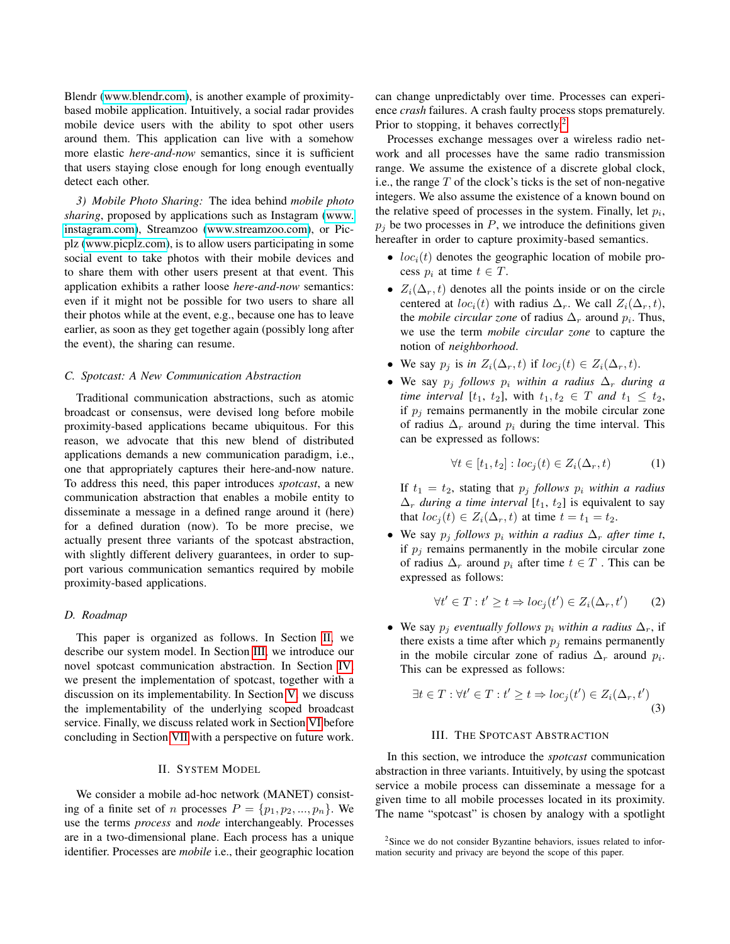Blendr [\(www.blendr.com\)](www.blendr.com), is another example of proximitybased mobile application. Intuitively, a social radar provides mobile device users with the ability to spot other users around them. This application can live with a somehow more elastic *here-and-now* semantics, since it is sufficient that users staying close enough for long enough eventually detect each other.

*3) Mobile Photo Sharing:* The idea behind *mobile photo sharing*, proposed by applications such as Instagram [\(www.](www.instagram.com) [instagram.com\)](www.instagram.com), Streamzoo [\(www.streamzoo.com\)](www.streamzoo.com), or Picplz [\(www.picplz.com\)](www.picplz.com), is to allow users participating in some social event to take photos with their mobile devices and to share them with other users present at that event. This application exhibits a rather loose *here-and-now* semantics: even if it might not be possible for two users to share all their photos while at the event, e.g., because one has to leave earlier, as soon as they get together again (possibly long after the event), the sharing can resume.

#### *C. Spotcast: A New Communication Abstraction*

Traditional communication abstractions, such as atomic broadcast or consensus, were devised long before mobile proximity-based applications became ubiquitous. For this reason, we advocate that this new blend of distributed applications demands a new communication paradigm, i.e., one that appropriately captures their here-and-now nature. To address this need, this paper introduces *spotcast*, a new communication abstraction that enables a mobile entity to disseminate a message in a defined range around it (here) for a defined duration (now). To be more precise, we actually present three variants of the spotcast abstraction, with slightly different delivery guarantees, in order to support various communication semantics required by mobile proximity-based applications.

#### *D. Roadmap*

This paper is organized as follows. In Section [II,](#page-1-0) we describe our system model. In Section [III,](#page-1-1) we introduce our novel spotcast communication abstraction. In Section [IV,](#page-3-0) we present the implementation of spotcast, together with a discussion on its implementability. In Section [V,](#page-5-0) we discuss the implementability of the underlying scoped broadcast service. Finally, we discuss related work in Section [VI](#page-6-0) before concluding in Section [VII](#page-7-2) with a perspective on future work.

#### II. SYSTEM MODEL

<span id="page-1-0"></span>We consider a mobile ad-hoc network (MANET) consisting of a finite set of *n* processes  $P = \{p_1, p_2, ..., p_n\}$ . We use the terms *process* and *node* interchangeably. Processes are in a two-dimensional plane. Each process has a unique identifier. Processes are *mobile* i.e., their geographic location can change unpredictably over time. Processes can experience *crash* failures. A crash faulty process stops prematurely. Prior to stopping, it behaves correctly.<sup>[2](#page-1-2)</sup>

Processes exchange messages over a wireless radio network and all processes have the same radio transmission range. We assume the existence of a discrete global clock, i.e., the range  $T$  of the clock's ticks is the set of non-negative integers. We also assume the existence of a known bound on the relative speed of processes in the system. Finally, let  $p_i$ ,  $p_i$  be two processes in  $P$ , we introduce the definitions given hereafter in order to capture proximity-based semantics.

- $loc<sub>i</sub>(t)$  denotes the geographic location of mobile process  $p_i$  at time  $t \in T$ .
- $Z_i(\Delta_r, t)$  denotes all the points inside or on the circle centered at  $loc<sub>i</sub>(t)$  with radius  $\Delta_r$ . We call  $Z_i(\Delta_r, t)$ , the *mobile circular zone* of radius  $\Delta_r$  around  $p_i$ . Thus, we use the term *mobile circular zone* to capture the notion of *neighborhood*.
- We say  $p_i$  is in  $Z_i(\Delta_r, t)$  if  $loc_i(t) \in Z_i(\Delta_r, t)$ .
- We say  $p_i$  *follows*  $p_i$  *within a radius*  $\Delta_r$  *during a time interval* [ $t_1$ ,  $t_2$ ], with  $t_1, t_2 \in T$  *and*  $t_1 \leq t_2$ , if  $p_i$  remains permanently in the mobile circular zone of radius  $\Delta_r$  around  $p_i$  during the time interval. This can be expressed as follows:

$$
\forall t \in [t_1, t_2] : loc_j(t) \in Z_i(\Delta_r, t) \tag{1}
$$

If  $t_1 = t_2$ , stating that  $p_j$  *follows*  $p_i$  *within a radius*  $\Delta_r$  *during a time interval* [t<sub>1</sub>, t<sub>2</sub>] is equivalent to say that  $loc_i(t) \in Z_i(\Delta_r, t)$  at time  $t = t_1 = t_2$ .

• We say  $p_i$  *follows*  $p_i$  *within a radius*  $\Delta_r$  *after time t*, if  $p_i$  remains permanently in the mobile circular zone of radius  $\Delta_r$  around  $p_i$  after time  $t \in T$ . This can be expressed as follows:

$$
\forall t' \in T : t' \ge t \Rightarrow loc_j(t') \in Z_i(\Delta_r, t') \qquad (2)
$$

• We say  $p_i$  *eventually follows*  $p_i$  *within a radius*  $\Delta_r$ , if there exists a time after which  $p_i$  remains permanently in the mobile circular zone of radius  $\Delta_r$  around  $p_i$ . This can be expressed as follows:

$$
\exists t \in T : \forall t' \in T : t' \ge t \Rightarrow loc_j(t') \in Z_i(\Delta_r, t')
$$
\n(3)

#### III. THE SPOTCAST ABSTRACTION

<span id="page-1-1"></span>In this section, we introduce the *spotcast* communication abstraction in three variants. Intuitively, by using the spotcast service a mobile process can disseminate a message for a given time to all mobile processes located in its proximity. The name "spotcast" is chosen by analogy with a spotlight

<span id="page-1-2"></span><sup>&</sup>lt;sup>2</sup>Since we do not consider Byzantine behaviors, issues related to information security and privacy are beyond the scope of this paper.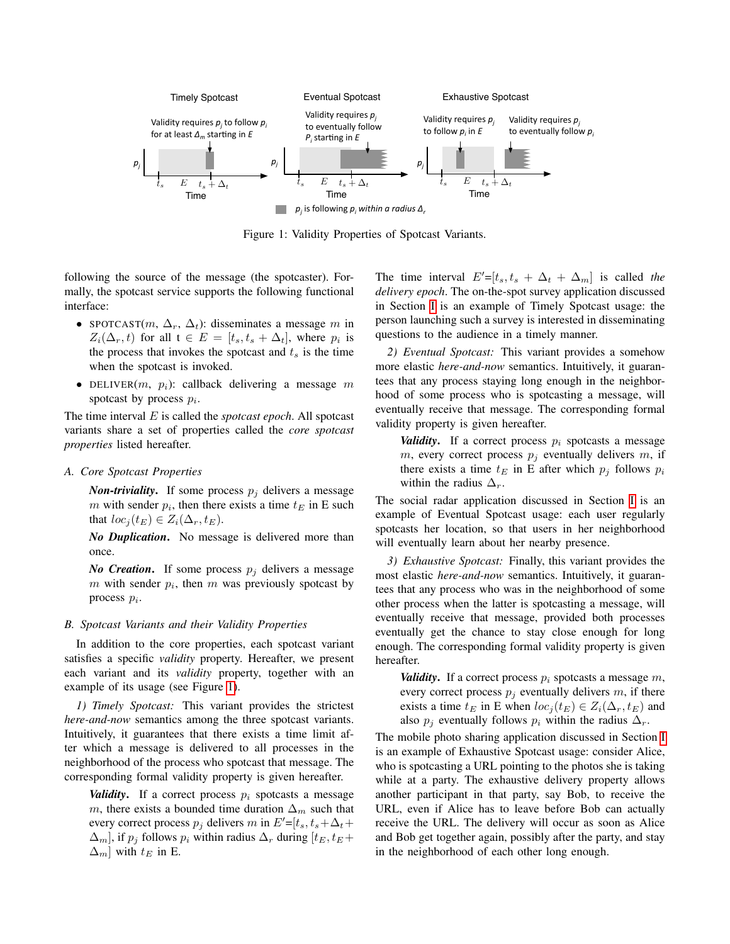<span id="page-2-0"></span>

Figure 1: Validity Properties of Spotcast Variants.

following the source of the message (the spotcaster). Formally, the spotcast service supports the following functional interface:

- SPOTCAST $(m, \Delta_r, \Delta_t)$ : disseminates a message m in  $Z_i(\Delta_r, t)$  for all  $t \in E = [t_s, t_s + \Delta_t]$ , where  $p_i$  is the process that invokes the spotcast and  $t_s$  is the time when the spotcast is invoked.
- DELIVER $(m, p_i)$ : callback delivering a message m spotcast by process  $p_i$ .

The time interval E is called the *spotcast epoch*. All spotcast variants share a set of properties called the *core spotcast properties* listed hereafter.

# *A. Core Spotcast Properties*

*Non-triviality*. If some process  $p_i$  delivers a message m with sender  $p_i$ , then there exists a time  $t_E$  in E such that  $loc_i(t_E) \in Z_i(\Delta_r, t_E)$ .

*No Duplication*. No message is delivered more than once.

*No Creation.* If some process  $p_j$  delivers a message  $m$  with sender  $p_i$ , then  $m$  was previously spotcast by process  $p_i$ .

## *B. Spotcast Variants and their Validity Properties*

In addition to the core properties, each spotcast variant satisfies a specific *validity* property. Hereafter, we present each variant and its *validity* property, together with an example of its usage (see Figure [1\)](#page-2-0).

*1) Timely Spotcast:* This variant provides the strictest *here-and-now* semantics among the three spotcast variants. Intuitively, it guarantees that there exists a time limit after which a message is delivered to all processes in the neighborhood of the process who spotcast that message. The corresponding formal validity property is given hereafter.

*Validity*. If a correct process  $p_i$  spotcasts a message m, there exists a bounded time duration  $\Delta_m$  such that every correct process  $p_i$  delivers m in  $E'=[t_s, t_s+\Delta_t+$  $\Delta_m$ , if  $p_j$  follows  $p_i$  within radius  $\Delta_r$  during  $[t_E, t_E + \Delta_m]$  $\Delta_m$ ] with  $t_E$  in E.

The time interval  $E'=[t_s, t_s + \Delta_t + \Delta_m]$  is called *the delivery epoch*. The on-the-spot survey application discussed in Section [I](#page-0-1) is an example of Timely Spotcast usage: the person launching such a survey is interested in disseminating questions to the audience in a timely manner.

*2) Eventual Spotcast:* This variant provides a somehow more elastic *here-and-now* semantics. Intuitively, it guarantees that any process staying long enough in the neighborhood of some process who is spotcasting a message, will eventually receive that message. The corresponding formal validity property is given hereafter.

*Validity*. If a correct process  $p_i$  spotcasts a message m, every correct process  $p_i$  eventually delivers m, if there exists a time  $t_E$  in E after which  $p_i$  follows  $p_i$ within the radius  $\Delta_r$ .

The social radar application discussed in Section [I](#page-0-1) is an example of Eventual Spotcast usage: each user regularly spotcasts her location, so that users in her neighborhood will eventually learn about her nearby presence.

*3) Exhaustive Spotcast:* Finally, this variant provides the most elastic *here-and-now* semantics. Intuitively, it guarantees that any process who was in the neighborhood of some other process when the latter is spotcasting a message, will eventually receive that message, provided both processes eventually get the chance to stay close enough for long enough. The corresponding formal validity property is given hereafter.

*Validity*. If a correct process  $p_i$  spotcasts a message m, every correct process  $p_i$  eventually delivers m, if there exists a time  $t_E$  in E when  $loc_i(t_E) \in Z_i(\Delta_r, t_E)$  and also  $p_j$  eventually follows  $p_i$  within the radius  $\Delta_r$ .

The mobile photo sharing application discussed in Section [I](#page-0-1) is an example of Exhaustive Spotcast usage: consider Alice, who is spotcasting a URL pointing to the photos she is taking while at a party. The exhaustive delivery property allows another participant in that party, say Bob, to receive the URL, even if Alice has to leave before Bob can actually receive the URL. The delivery will occur as soon as Alice and Bob get together again, possibly after the party, and stay in the neighborhood of each other long enough.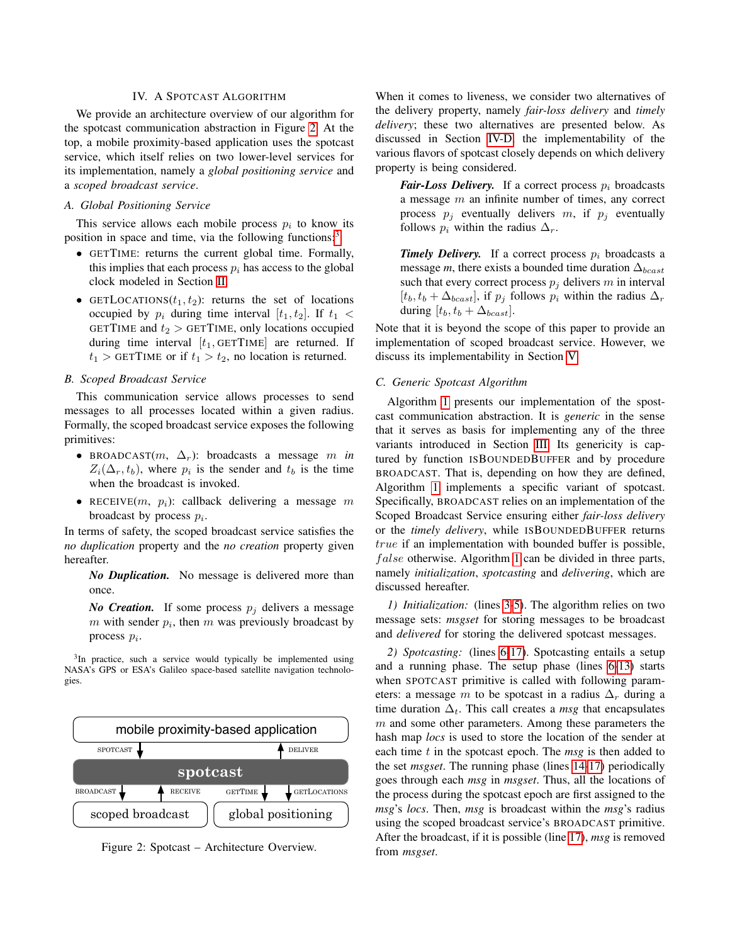# IV. A SPOTCAST ALGORITHM

<span id="page-3-0"></span>We provide an architecture overview of our algorithm for the spotcast communication abstraction in Figure [2.](#page-3-1) At the top, a mobile proximity-based application uses the spotcast service, which itself relies on two lower-level services for its implementation, namely a *global positioning service* and a *scoped broadcast service*.

## *A. Global Positioning Service*

This service allows each mobile process  $p_i$  to know its position in space and time, via the following functions:[3](#page-3-2)

- GETTIME: returns the current global time. Formally, this implies that each process  $p_i$  has access to the global clock modeled in Section [II.](#page-1-0)
- GETLOCATIONS $(t_1, t_2)$ : returns the set of locations occupied by  $p_i$  during time interval  $[t_1, t_2]$ . If  $t_1$  < GETTIME and  $t_2 >$  GETTIME, only locations occupied during time interval  $[t_1, GETTIME]$  are returned. If  $t_1 >$  GETTIME or if  $t_1 > t_2$ , no location is returned.

## *B. Scoped Broadcast Service*

This communication service allows processes to send messages to all processes located within a given radius. Formally, the scoped broadcast service exposes the following primitives:

- BROADCAST $(m, \Delta_r)$ : broadcasts a message m in  $Z_i(\Delta_r, t_b)$ , where  $p_i$  is the sender and  $t_b$  is the time when the broadcast is invoked.
- RECEIVE $(m, p_i)$ : callback delivering a message m broadcast by process  $p_i$ .

In terms of safety, the scoped broadcast service satisfies the *no duplication* property and the *no creation* property given hereafter.

*No Duplication.* No message is delivered more than once.

*No Creation.* If some process  $p_j$  delivers a message  $m$  with sender  $p_i$ , then  $m$  was previously broadcast by process  $p_i$ .

<span id="page-3-2"></span> $3$ In practice, such a service would typically be implemented using NASA's GPS or ESA's Galileo space-based satellite navigation technologies.

<span id="page-3-1"></span>

Figure 2: Spotcast – Architecture Overview.

When it comes to liveness, we consider two alternatives of the delivery property, namely *fair-loss delivery* and *timely delivery*; these two alternatives are presented below. As discussed in Section [IV-D,](#page-4-0) the implementability of the various flavors of spotcast closely depends on which delivery property is being considered.

*Fair-Loss Delivery.* If a correct process  $p_i$  broadcasts a message  $m$  an infinite number of times, any correct process  $p_i$  eventually delivers m, if  $p_i$  eventually follows  $p_i$  within the radius  $\Delta_r$ .

*Timely Delivery.* If a correct process  $p_i$  broadcasts a message *m*, there exists a bounded time duration  $\Delta_{\text{beast}}$ such that every correct process  $p_i$  delivers m in interval  $[t_b, t_b + \Delta_{beast}]$ , if  $p_j$  follows  $p_i$  within the radius  $\Delta_r$ during  $[t_b, t_b + \Delta_{beast}].$ 

Note that it is beyond the scope of this paper to provide an implementation of scoped broadcast service. However, we discuss its implementability in Section [V.](#page-5-0)

#### *C. Generic Spotcast Algorithm*

Algorithm [1](#page-0-2) presents our implementation of the spostcast communication abstraction. It is *generic* in the sense that it serves as basis for implementing any of the three variants introduced in Section [III.](#page-1-1) Its genericity is captured by function ISBOUNDEDBUFFER and by procedure BROADCAST. That is, depending on how they are defined, Algorithm [1](#page-0-2) implements a specific variant of spotcast. Specifically, BROADCAST relies on an implementation of the Scoped Broadcast Service ensuring either *fair-loss delivery* or the *timely delivery*, while ISBOUNDEDBUFFER returns true if an implementation with bounded buffer is possible,  $false$  otherwise. Algorithm [1](#page-0-2) can be divided in three parts, namely *initialization*, *spotcasting* and *delivering*, which are discussed hereafter.

*1) Initialization:* (lines [3](#page-4-1)[-5\)](#page-4-2). The algorithm relies on two message sets: *msgset* for storing messages to be broadcast and *delivered* for storing the delivered spotcast messages.

*2) Spotcasting:* (lines [6](#page-4-3)[-17\)](#page-4-4). Spotcasting entails a setup and a running phase. The setup phase (lines [6](#page-4-3)[-13\)](#page-4-5) starts when SPOTCAST primitive is called with following parameters: a message m to be spotcast in a radius  $\Delta_r$  during a time duration  $\Delta_t$ . This call creates a *msg* that encapsulates  $m$  and some other parameters. Among these parameters the hash map *locs* is used to store the location of the sender at each time t in the spotcast epoch. The *msg* is then added to the set *msgset*. The running phase (lines [14-](#page-4-6)[17\)](#page-4-4) periodically goes through each *msg* in *msgset*. Thus, all the locations of the process during the spotcast epoch are first assigned to the *msg*'s *locs*. Then, *msg* is broadcast within the *msg*'s radius using the scoped broadcast service's BROADCAST primitive. After the broadcast, if it is possible (line [17\)](#page-4-7), *msg* is removed from *msgset*.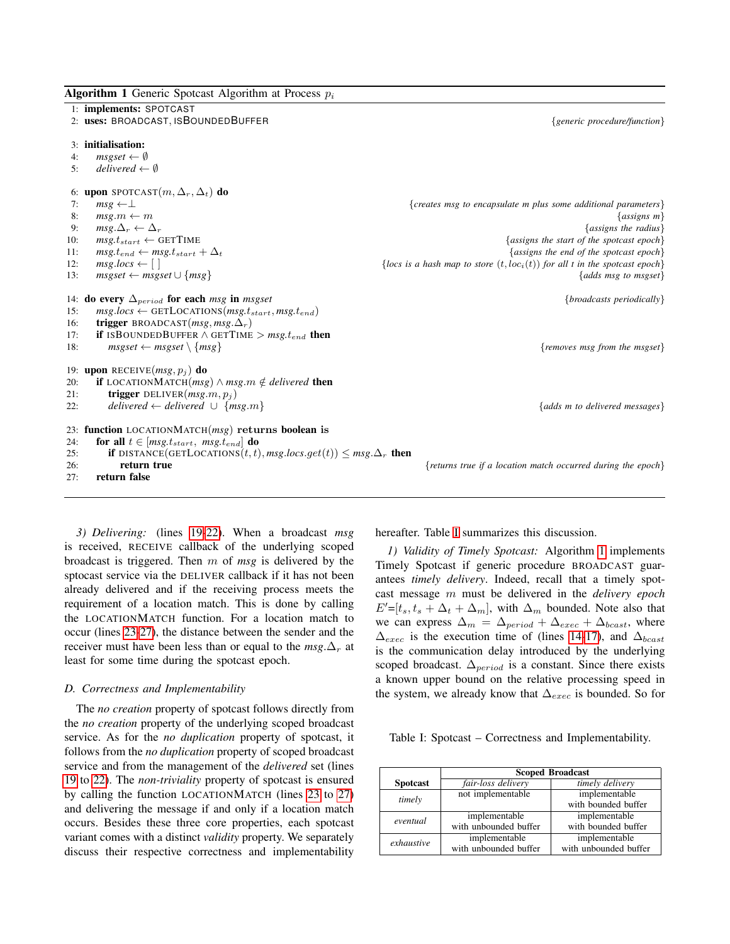<span id="page-4-6"></span><span id="page-4-5"></span><span id="page-4-3"></span><span id="page-4-2"></span><span id="page-4-1"></span>

|                   | <b>Algorithm 1</b> Generic Spotcast Algorithm at Process $p_i$                                                                                                                                                                                             |                                                                              |  |  |
|-------------------|------------------------------------------------------------------------------------------------------------------------------------------------------------------------------------------------------------------------------------------------------------|------------------------------------------------------------------------------|--|--|
|                   | 1: implements: SPOTCAST                                                                                                                                                                                                                                    |                                                                              |  |  |
|                   | 2: uses: BROADCAST, ISBOUNDEDBUFFER                                                                                                                                                                                                                        | $\{generic\ procedure/function\}$                                            |  |  |
|                   |                                                                                                                                                                                                                                                            |                                                                              |  |  |
|                   | 3: initialisation:                                                                                                                                                                                                                                         |                                                                              |  |  |
| 4:                | $msgset \leftarrow \emptyset$                                                                                                                                                                                                                              |                                                                              |  |  |
| 5:                | delivered $\leftarrow \emptyset$                                                                                                                                                                                                                           |                                                                              |  |  |
|                   | 6: upon SPOTCAST $(m, \Delta_r, \Delta_t)$ do                                                                                                                                                                                                              |                                                                              |  |  |
| 7:                | $msg \leftarrow \perp$                                                                                                                                                                                                                                     | {creates msg to encapsulate m plus some additional parameters}               |  |  |
| 8:                | $msg.m \leftarrow m$                                                                                                                                                                                                                                       | $\{assigns m\}$                                                              |  |  |
| 9:                | $msg.\Delta_r \leftarrow \Delta_r$                                                                                                                                                                                                                         | ${assigns the radius}$                                                       |  |  |
| 10:               | $msg.t_{start} \leftarrow$ GETTIME                                                                                                                                                                                                                         | {assigns the start of the spotcast epoch}                                    |  |  |
| 11:               | $msg.t_{end} \leftarrow msg.t_{start} + \Delta_t$                                                                                                                                                                                                          | {assigns the end of the spotcast epoch}                                      |  |  |
| 12:               | $msg.locs \leftarrow \Box$                                                                                                                                                                                                                                 | {locs is a hash map to store $(t, loci(t))$ for all t in the spotcast epoch} |  |  |
| 13:               | $msgset \leftarrow msgset \cup \{msg\}$                                                                                                                                                                                                                    | ${adds \; msg \; to \; msgset}$                                              |  |  |
| 15:<br>16:<br>17: | 14: <b>do every</b> $\Delta_{period}$ for each msg in msgset<br>$msg. locs \leftarrow \text{GETLOCALIONS}(msg. t_{start}, msg. t_{end})$<br><b>trigger</b> BROADCAST( $msg, msg.\Delta_r$ )<br>if ISBOUNDEDBUFFER $\wedge$ GETTIME $>$ msg. $t_{end}$ then | {broadcasts periodically}                                                    |  |  |
| 18:               | $msgset \leftarrow msgset \{msg\}$                                                                                                                                                                                                                         | {removes msg from the msgset}                                                |  |  |
| 20:<br>21:<br>22: | 19: upon RECEIVE $(msg, p_i)$ do<br><b>if</b> LOCATIONMATCH( $msg$ ) $\land$ $msg.m \notin delivered$ <b>then</b><br><b>trigger</b> DELIVER( $msg.m, p_i$ )<br>delivered $\leftarrow$ delivered $\cup$ {msg.m}                                             | ${adds \; m \; to \; delivered \; messages}$                                 |  |  |
|                   |                                                                                                                                                                                                                                                            |                                                                              |  |  |
|                   | 23: function LOCATIONMATCH(msg) returns boolean is                                                                                                                                                                                                         |                                                                              |  |  |
| 24:               | for all $t \in [msg.t_{start}, msg.t_{end}]$ do                                                                                                                                                                                                            |                                                                              |  |  |
| 25:               | <b>if</b> DISTANCE(GETLOCATIONS $(t, t)$ , msg.locs.get $(t)$ ) $\leq$ msg. $\Delta_r$ then                                                                                                                                                                |                                                                              |  |  |
| 26:               | return true                                                                                                                                                                                                                                                | {returns true if a location match occurred during the epoch}                 |  |  |
| 27:               | return false                                                                                                                                                                                                                                               |                                                                              |  |  |

<span id="page-4-11"></span><span id="page-4-10"></span><span id="page-4-8"></span><span id="page-4-4"></span>*3) Delivering:* (lines [19-](#page-4-8)[22\)](#page-4-9). When a broadcast *msg* is received, RECEIVE callback of the underlying scoped broadcast is triggered. Then m of *msg* is delivered by the sptocast service via the DELIVER callback if it has not been already delivered and if the receiving process meets the requirement of a location match. This is done by calling the LOCATIONMATCH function. For a location match to occur (lines [23-](#page-4-10)[27\)](#page-4-11), the distance between the sender and the receiver must have been less than or equal to the  $msg.\Delta_r$  at least for some time during the spotcast epoch.

## <span id="page-4-0"></span>*D. Correctness and Implementability*

The *no creation* property of spotcast follows directly from the *no creation* property of the underlying scoped broadcast service. As for the *no duplication* property of spotcast, it follows from the *no duplication* property of scoped broadcast service and from the management of the *delivered* set (lines [19](#page-4-8) to [22\)](#page-4-9). The *non-triviality* property of spotcast is ensured by calling the function LOCATIONMATCH (lines [23](#page-4-10) to [27\)](#page-4-11) and delivering the message if and only if a location match occurs. Besides these three core properties, each spotcast variant comes with a distinct *validity* property. We separately discuss their respective correctness and implementability <span id="page-4-9"></span><span id="page-4-7"></span>hereafter. Table [I](#page-4-12) summarizes this discussion.

*1) Validity of Timely Spotcast:* Algorithm [1](#page-0-2) implements Timely Spotcast if generic procedure BROADCAST guarantees *timely delivery*. Indeed, recall that a timely spotcast message m must be delivered in the *delivery epoch*  $E'=[t_s, t_s + \Delta_t + \Delta_m]$ , with  $\Delta_m$  bounded. Note also that we can express  $\Delta_m = \Delta_{period} + \Delta_{exec} + \Delta_{bcast}$ , where  $\Delta_{exec}$  is the execution time of (lines [14](#page-4-6)[-17\)](#page-4-4), and  $\Delta_{bcast}$ is the communication delay introduced by the underlying scoped broadcast.  $\Delta_{period}$  is a constant. Since there exists a known upper bound on the relative processing speed in the system, we already know that  $\Delta_{exec}$  is bounded. So for

<span id="page-4-12"></span>Table I: Spotcast – Correctness and Implementability.

|                 | <b>Scoped Broadcast</b> |                       |
|-----------------|-------------------------|-----------------------|
| <b>Spotcast</b> | fair-loss delivery      | timely delivery       |
|                 | not implementable       | implementable         |
| timely          |                         | with bounded buffer   |
| eventual        | implementable           | implementable         |
|                 | with unbounded buffer   | with bounded buffer   |
| exhaustive      | implementable           | implementable         |
|                 | with unbounded buffer   | with unbounded buffer |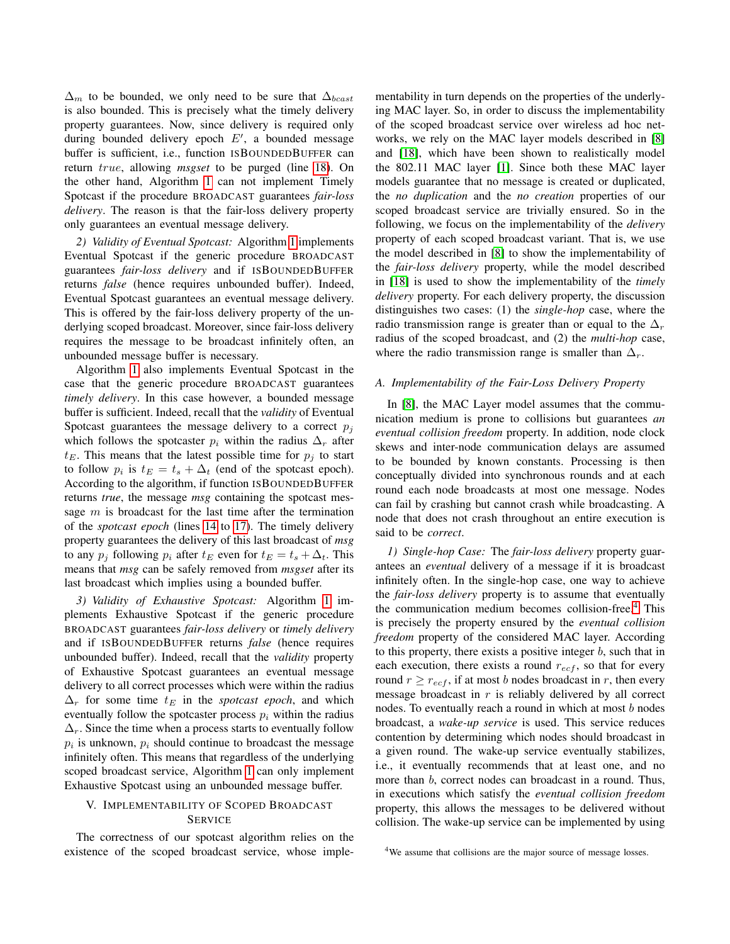$\Delta_m$  to be bounded, we only need to be sure that  $\Delta_{bcast}$ is also bounded. This is precisely what the timely delivery property guarantees. Now, since delivery is required only during bounded delivery epoch  $E'$ , a bounded message buffer is sufficient, i.e., function ISBOUNDEDBUFFER can return true, allowing *msgset* to be purged (line [18\)](#page-4-4). On the other hand, Algorithm [1](#page-0-2) can not implement Timely Spotcast if the procedure BROADCAST guarantees *fair-loss delivery*. The reason is that the fair-loss delivery property only guarantees an eventual message delivery.

*2) Validity of Eventual Spotcast:* Algorithm [1](#page-0-2) implements Eventual Spotcast if the generic procedure BROADCAST guarantees *fair-loss delivery* and if ISBOUNDEDBUFFER returns *false* (hence requires unbounded buffer). Indeed, Eventual Spotcast guarantees an eventual message delivery. This is offered by the fair-loss delivery property of the underlying scoped broadcast. Moreover, since fair-loss delivery requires the message to be broadcast infinitely often, an unbounded message buffer is necessary.

Algorithm [1](#page-0-2) also implements Eventual Spotcast in the case that the generic procedure BROADCAST guarantees *timely delivery*. In this case however, a bounded message buffer is sufficient. Indeed, recall that the *validity* of Eventual Spotcast guarantees the message delivery to a correct  $p_i$ which follows the spotcaster  $p_i$  within the radius  $\Delta_r$  after  $t_E$ . This means that the latest possible time for  $p_i$  to start to follow  $p_i$  is  $t_E = t_s + \Delta_t$  (end of the spotcast epoch). According to the algorithm, if function ISBOUNDEDBUFFER returns *true*, the message *msg* containing the spotcast message  $m$  is broadcast for the last time after the termination of the *spotcast epoch* (lines [14](#page-4-6) to [17\)](#page-4-4). The timely delivery property guarantees the delivery of this last broadcast of *msg* to any  $p_i$  following  $p_i$  after  $t_E$  even for  $t_E = t_s + \Delta_t$ . This means that *msg* can be safely removed from *msgset* after its last broadcast which implies using a bounded buffer.

*3) Validity of Exhaustive Spotcast:* Algorithm [1](#page-0-2) implements Exhaustive Spotcast if the generic procedure BROADCAST guarantees *fair-loss delivery* or *timely delivery* and if ISBOUNDEDBUFFER returns *false* (hence requires unbounded buffer). Indeed, recall that the *validity* property of Exhaustive Spotcast guarantees an eventual message delivery to all correct processes which were within the radius  $\Delta_r$  for some time  $t_E$  in the *spotcast epoch*, and which eventually follow the spotcaster process  $p_i$  within the radius  $\Delta_r$ . Since the time when a process starts to eventually follow  $p_i$  is unknown,  $p_i$  should continue to broadcast the message infinitely often. This means that regardless of the underlying scoped broadcast service, Algorithm [1](#page-0-2) can only implement Exhaustive Spotcast using an unbounded message buffer.

# <span id="page-5-0"></span>V. IMPLEMENTABILITY OF SCOPED BROADCAST SERVICE

The correctness of our spotcast algorithm relies on the existence of the scoped broadcast service, whose implementability in turn depends on the properties of the underlying MAC layer. So, in order to discuss the implementability of the scoped broadcast service over wireless ad hoc networks, we rely on the MAC layer models described in [\[8\]](#page-7-3) and [\[18\]](#page-8-2), which have been shown to realistically model the 802.11 MAC layer [\[1\]](#page-7-4). Since both these MAC layer models guarantee that no message is created or duplicated, the *no duplication* and the *no creation* properties of our scoped broadcast service are trivially ensured. So in the following, we focus on the implementability of the *delivery* property of each scoped broadcast variant. That is, we use the model described in [\[8\]](#page-7-3) to show the implementability of the *fair-loss delivery* property, while the model described in [\[18\]](#page-8-2) is used to show the implementability of the *timely delivery* property. For each delivery property, the discussion distinguishes two cases: (1) the *single-hop* case, where the radio transmission range is greater than or equal to the  $\Delta_r$ radius of the scoped broadcast, and (2) the *multi-hop* case, where the radio transmission range is smaller than  $\Delta_r$ .

# *A. Implementability of the Fair-Loss Delivery Property*

In [\[8\]](#page-7-3), the MAC Layer model assumes that the communication medium is prone to collisions but guarantees *an eventual collision freedom* property. In addition, node clock skews and inter-node communication delays are assumed to be bounded by known constants. Processing is then conceptually divided into synchronous rounds and at each round each node broadcasts at most one message. Nodes can fail by crashing but cannot crash while broadcasting. A node that does not crash throughout an entire execution is said to be *correct*.

*1) Single-hop Case:* The *fair-loss delivery* property guarantees an *eventual* delivery of a message if it is broadcast infinitely often. In the single-hop case, one way to achieve the *fair-loss delivery* property is to assume that eventually the communication medium becomes collision-free.<sup>[4](#page-5-1)</sup> This is precisely the property ensured by the *eventual collision freedom* property of the considered MAC layer. According to this property, there exists a positive integer b, such that in each execution, there exists a round  $r_{ecf}$ , so that for every round  $r \ge r_{ecf}$ , if at most b nodes broadcast in r, then every message broadcast in  $r$  is reliably delivered by all correct nodes. To eventually reach a round in which at most b nodes broadcast, a *wake-up service* is used. This service reduces contention by determining which nodes should broadcast in a given round. The wake-up service eventually stabilizes, i.e., it eventually recommends that at least one, and no more than b, correct nodes can broadcast in a round. Thus, in executions which satisfy the *eventual collision freedom* property, this allows the messages to be delivered without collision. The wake-up service can be implemented by using

<span id="page-5-1"></span><sup>4</sup>We assume that collisions are the major source of message losses.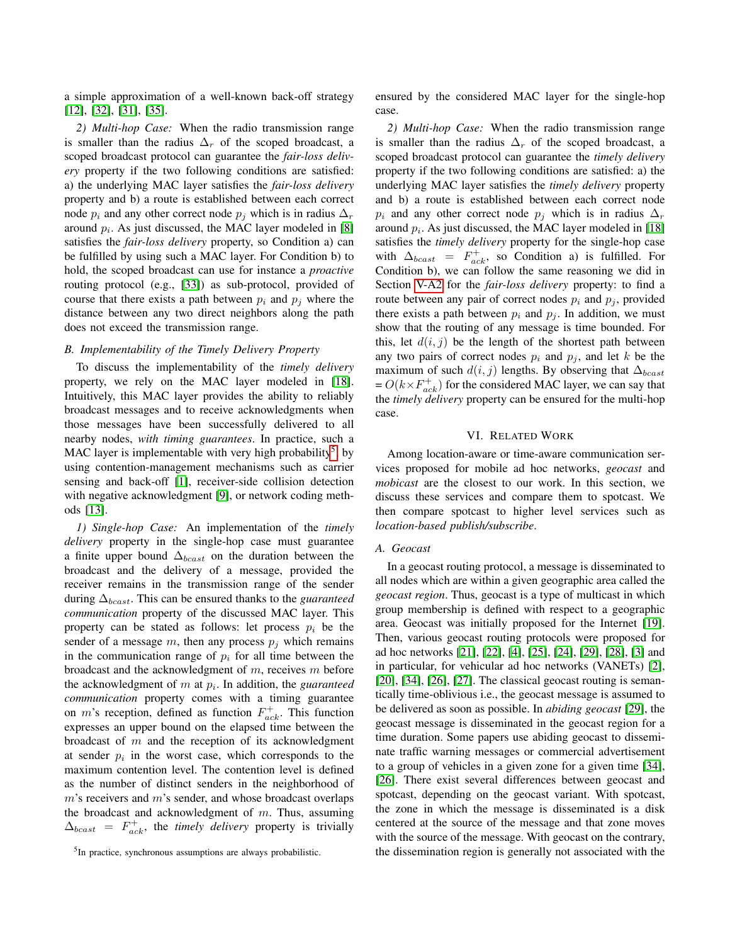a simple approximation of a well-known back-off strategy [\[12\]](#page-7-5), [\[32\]](#page-8-3), [\[31\]](#page-8-4), [\[35\]](#page-8-5).

<span id="page-6-2"></span>*2) Multi-hop Case:* When the radio transmission range is smaller than the radius  $\Delta_r$  of the scoped broadcast, a scoped broadcast protocol can guarantee the *fair-loss delivery* property if the two following conditions are satisfied: a) the underlying MAC layer satisfies the *fair-loss delivery* property and b) a route is established between each correct node  $p_i$  and any other correct node  $p_i$  which is in radius  $\Delta_r$ around  $p_i$ . As just discussed, the MAC layer modeled in [\[8\]](#page-7-3) satisfies the *fair-loss delivery* property, so Condition a) can be fulfilled by using such a MAC layer. For Condition b) to hold, the scoped broadcast can use for instance a *proactive* routing protocol (e.g., [\[33\]](#page-8-6)) as sub-protocol, provided of course that there exists a path between  $p_i$  and  $p_j$  where the distance between any two direct neighbors along the path does not exceed the transmission range.

# *B. Implementability of the Timely Delivery Property*

To discuss the implementability of the *timely delivery* property, we rely on the MAC layer modeled in [\[18\]](#page-8-2). Intuitively, this MAC layer provides the ability to reliably broadcast messages and to receive acknowledgments when those messages have been successfully delivered to all nearby nodes, *with timing guarantees*. In practice, such a MAC layer is implementable with very high probability<sup>[5](#page-6-1)</sup>, by using contention-management mechanisms such as carrier sensing and back-off [\[1\]](#page-7-4), receiver-side collision detection with negative acknowledgment [\[9\]](#page-7-6), or network coding methods [\[13\]](#page-8-7).

*1) Single-hop Case:* An implementation of the *timely delivery* property in the single-hop case must guarantee a finite upper bound  $\Delta_{beast}$  on the duration between the broadcast and the delivery of a message, provided the receiver remains in the transmission range of the sender during  $\Delta_{\text{beast}}$ . This can be ensured thanks to the *guaranteed communication* property of the discussed MAC layer. This property can be stated as follows: let process  $p_i$  be the sender of a message  $m$ , then any process  $p_j$  which remains in the communication range of  $p_i$  for all time between the broadcast and the acknowledgment of m, receives m before the acknowledgment of  $m$  at  $p_i$ . In addition, the *guaranteed communication* property comes with a timing guarantee on *m*'s reception, defined as function  $F_{ack}^+$ . This function expresses an upper bound on the elapsed time between the broadcast of  $m$  and the reception of its acknowledgment at sender  $p_i$  in the worst case, which corresponds to the maximum contention level. The contention level is defined as the number of distinct senders in the neighborhood of  $m$ 's receivers and  $m$ 's sender, and whose broadcast overlaps the broadcast and acknowledgment of  $m$ . Thus, assuming  $\Delta_{beast} = F_{ack}^+$ , the *timely delivery* property is trivially ensured by the considered MAC layer for the single-hop case.

*2) Multi-hop Case:* When the radio transmission range is smaller than the radius  $\Delta_r$  of the scoped broadcast, a scoped broadcast protocol can guarantee the *timely delivery* property if the two following conditions are satisfied: a) the underlying MAC layer satisfies the *timely delivery* property and b) a route is established between each correct node  $p_i$  and any other correct node  $p_i$  which is in radius  $\Delta_r$ around  $p_i$ . As just discussed, the MAC layer modeled in [\[18\]](#page-8-2) satisfies the *timely delivery* property for the single-hop case with  $\Delta_{beast} = F_{ack}^+$ , so Condition a) is fulfilled. For Condition b), we can follow the same reasoning we did in Section [V-A2](#page-6-2) for the *fair-loss delivery* property: to find a route between any pair of correct nodes  $p_i$  and  $p_j$ , provided there exists a path between  $p_i$  and  $p_j$ . In addition, we must show that the routing of any message is time bounded. For this, let  $d(i, j)$  be the length of the shortest path between any two pairs of correct nodes  $p_i$  and  $p_j$ , and let k be the maximum of such  $d(i, j)$  lengths. By observing that  $\Delta_{bcast}$  $= O(k \times F_{ack}^+)$  for the considered MAC layer, we can say that the *timely delivery* property can be ensured for the multi-hop case.

#### VI. RELATED WORK

<span id="page-6-0"></span>Among location-aware or time-aware communication services proposed for mobile ad hoc networks, *geocast* and *mobicast* are the closest to our work. In this section, we discuss these services and compare them to spotcast. We then compare spotcast to higher level services such as *location-based publish/subscribe*.

#### *A. Geocast*

In a geocast routing protocol, a message is disseminated to all nodes which are within a given geographic area called the *geocast region*. Thus, geocast is a type of multicast in which group membership is defined with respect to a geographic area. Geocast was initially proposed for the Internet [\[19\]](#page-8-8). Then, various geocast routing protocols were proposed for ad hoc networks [\[21\]](#page-8-9), [\[22\]](#page-8-10), [\[4\]](#page-7-7), [\[25\]](#page-8-11), [\[24\]](#page-8-12), [\[29\]](#page-8-13), [\[28\]](#page-8-14), [\[3\]](#page-7-8) and in particular, for vehicular ad hoc networks (VANETs) [\[2\]](#page-7-9), [\[20\]](#page-8-15), [\[34\]](#page-8-16), [\[26\]](#page-8-17), [\[27\]](#page-8-18). The classical geocast routing is semantically time-oblivious i.e., the geocast message is assumed to be delivered as soon as possible. In *abiding geocast* [\[29\]](#page-8-13), the geocast message is disseminated in the geocast region for a time duration. Some papers use abiding geocast to disseminate traffic warning messages or commercial advertisement to a group of vehicles in a given zone for a given time [\[34\]](#page-8-16), [\[26\]](#page-8-17). There exist several differences between geocast and spotcast, depending on the geocast variant. With spotcast, the zone in which the message is disseminated is a disk centered at the source of the message and that zone moves with the source of the message. With geocast on the contrary, the dissemination region is generally not associated with the

<span id="page-6-1"></span><sup>&</sup>lt;sup>5</sup>In practice, synchronous assumptions are always probabilistic.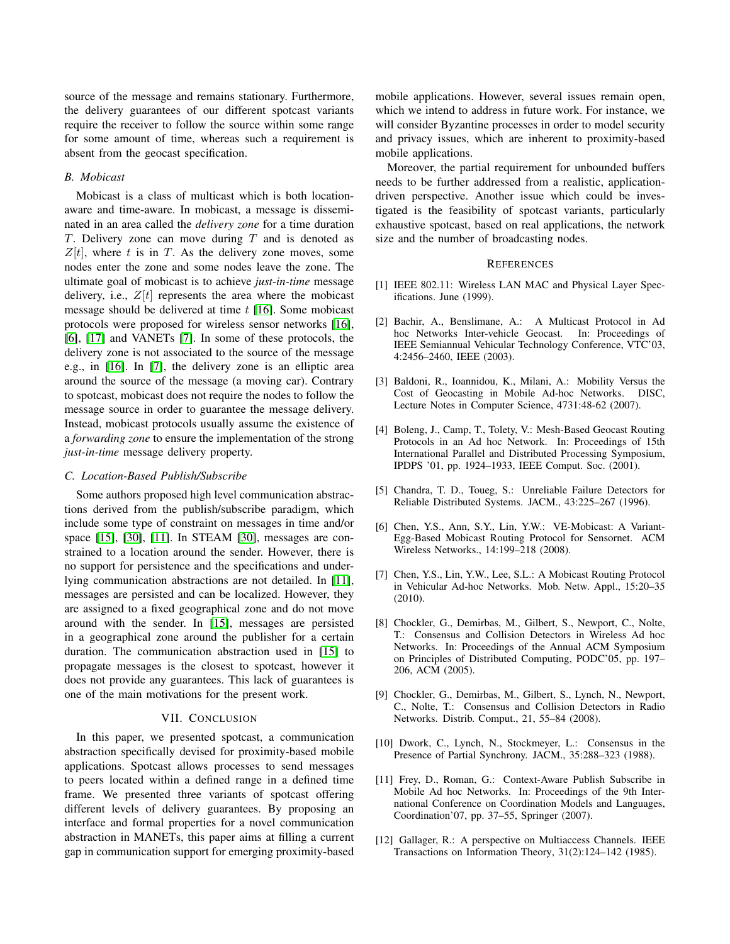source of the message and remains stationary. Furthermore, the delivery guarantees of our different spotcast variants require the receiver to follow the source within some range for some amount of time, whereas such a requirement is absent from the geocast specification.

# *B. Mobicast*

Mobicast is a class of multicast which is both locationaware and time-aware. In mobicast, a message is disseminated in an area called the *delivery zone* for a time duration  $T$ . Delivery zone can move during  $T$  and is denoted as  $Z[t]$ , where t is in T. As the delivery zone moves, some nodes enter the zone and some nodes leave the zone. The ultimate goal of mobicast is to achieve *just-in-time* message delivery, i.e.,  $Z[t]$  represents the area where the mobicast message should be delivered at time  $t$  [\[16\]](#page-8-19). Some mobicast protocols were proposed for wireless sensor networks [\[16\]](#page-8-19), [\[6\]](#page-7-10), [\[17\]](#page-8-20) and VANETs [\[7\]](#page-7-11). In some of these protocols, the delivery zone is not associated to the source of the message e.g., in [\[16\]](#page-8-19). In [\[7\]](#page-7-11), the delivery zone is an elliptic area around the source of the message (a moving car). Contrary to spotcast, mobicast does not require the nodes to follow the message source in order to guarantee the message delivery. Instead, mobicast protocols usually assume the existence of a *forwarding zone* to ensure the implementation of the strong *just-in-time* message delivery property.

## *C. Location-Based Publish/Subscribe*

Some authors proposed high level communication abstractions derived from the publish/subscribe paradigm, which include some type of constraint on messages in time and/or space [\[15\]](#page-8-21), [\[30\]](#page-8-22), [\[11\]](#page-7-12). In STEAM [\[30\]](#page-8-22), messages are constrained to a location around the sender. However, there is no support for persistence and the specifications and underlying communication abstractions are not detailed. In [\[11\]](#page-7-12), messages are persisted and can be localized. However, they are assigned to a fixed geographical zone and do not move around with the sender. In [\[15\]](#page-8-21), messages are persisted in a geographical zone around the publisher for a certain duration. The communication abstraction used in [\[15\]](#page-8-21) to propagate messages is the closest to spotcast, however it does not provide any guarantees. This lack of guarantees is one of the main motivations for the present work.

## VII. CONCLUSION

<span id="page-7-2"></span>In this paper, we presented spotcast, a communication abstraction specifically devised for proximity-based mobile applications. Spotcast allows processes to send messages to peers located within a defined range in a defined time frame. We presented three variants of spotcast offering different levels of delivery guarantees. By proposing an interface and formal properties for a novel communication abstraction in MANETs, this paper aims at filling a current gap in communication support for emerging proximity-based mobile applications. However, several issues remain open, which we intend to address in future work. For instance, we will consider Byzantine processes in order to model security and privacy issues, which are inherent to proximity-based mobile applications.

Moreover, the partial requirement for unbounded buffers needs to be further addressed from a realistic, applicationdriven perspective. Another issue which could be investigated is the feasibility of spotcast variants, particularly exhaustive spotcast, based on real applications, the network size and the number of broadcasting nodes.

#### **REFERENCES**

- <span id="page-7-4"></span>[1] IEEE 802.11: Wireless LAN MAC and Physical Layer Specifications. June (1999).
- <span id="page-7-9"></span>[2] Bachir, A., Benslimane, A.: A Multicast Protocol in Ad hoc Networks Inter-vehicle Geocast. IEEE Semiannual Vehicular Technology Conference, VTC'03, 4:2456–2460, IEEE (2003).
- <span id="page-7-8"></span>[3] Baldoni, R., Ioannidou, K., Milani, A.: Mobility Versus the Cost of Geocasting in Mobile Ad-hoc Networks. DISC, Lecture Notes in Computer Science, 4731:48-62 (2007).
- <span id="page-7-7"></span>[4] Boleng, J., Camp, T., Tolety, V.: Mesh-Based Geocast Routing Protocols in an Ad hoc Network. In: Proceedings of 15th International Parallel and Distributed Processing Symposium, IPDPS '01, pp. 1924–1933, IEEE Comput. Soc. (2001).
- <span id="page-7-1"></span>[5] Chandra, T. D., Toueg, S.: Unreliable Failure Detectors for Reliable Distributed Systems. JACM., 43:225–267 (1996).
- <span id="page-7-10"></span>[6] Chen, Y.S., Ann, S.Y., Lin, Y.W.: VE-Mobicast: A Variant-Egg-Based Mobicast Routing Protocol for Sensornet. ACM Wireless Networks., 14:199–218 (2008).
- <span id="page-7-11"></span>[7] Chen, Y.S., Lin, Y.W., Lee, S.L.: A Mobicast Routing Protocol in Vehicular Ad-hoc Networks. Mob. Netw. Appl., 15:20–35 (2010).
- <span id="page-7-3"></span>[8] Chockler, G., Demirbas, M., Gilbert, S., Newport, C., Nolte, T.: Consensus and Collision Detectors in Wireless Ad hoc Networks. In: Proceedings of the Annual ACM Symposium on Principles of Distributed Computing, PODC'05, pp. 197– 206, ACM (2005).
- <span id="page-7-6"></span>[9] Chockler, G., Demirbas, M., Gilbert, S., Lynch, N., Newport, C., Nolte, T.: Consensus and Collision Detectors in Radio Networks. Distrib. Comput., 21, 55–84 (2008).
- <span id="page-7-0"></span>[10] Dwork, C., Lynch, N., Stockmeyer, L.: Consensus in the Presence of Partial Synchrony. JACM., 35:288–323 (1988).
- <span id="page-7-12"></span>[11] Frey, D., Roman, G.: Context-Aware Publish Subscribe in Mobile Ad hoc Networks. In: Proceedings of the 9th International Conference on Coordination Models and Languages, Coordination'07, pp. 37–55, Springer (2007).
- <span id="page-7-5"></span>[12] Gallager, R.: A perspective on Multiaccess Channels. IEEE Transactions on Information Theory, 31(2):124–142 (1985).